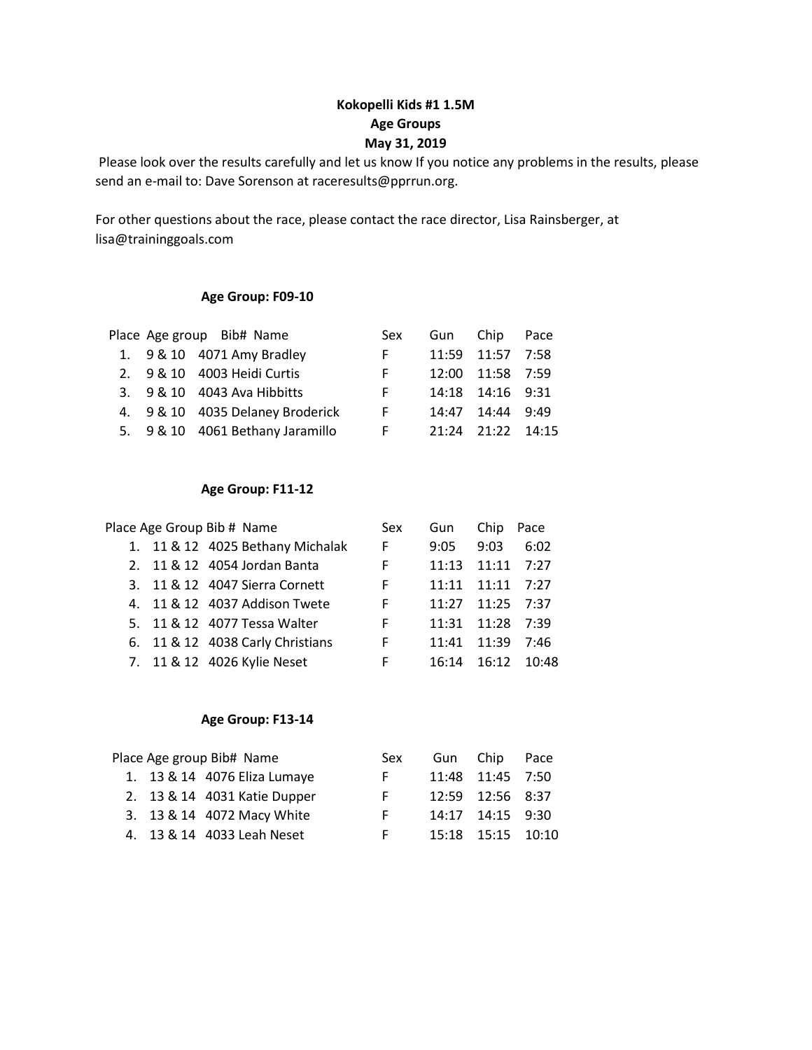### **Kokopelli Kids #1 1.5M Age Groups May 31, 2019**

Please look over the results carefully and let us know If you notice any problems in the results, please send an e-mail to: Dave Sorenson at raceresults@pprrun.org.

For other questions about the race, please contact the race director, Lisa Rainsberger, at lisa@traininggoals.com

#### **Age Group: F09-10**

|  | Place Age group Bib# Name        | Sex | Gun Chip |                  | Pace  |
|--|----------------------------------|-----|----------|------------------|-------|
|  | 1. 9 & 10 4071 Amy Bradley       | F.  |          | 11:59 11:57 7:58 |       |
|  | 2. 9 & 10 4003 Heidi Curtis      | F.  |          | 12:00 11:58 7:59 |       |
|  | 3. 9 & 10 4043 Ava Hibbitts      | F.  |          | 14:18 14:16 9:31 |       |
|  | 4. 9 & 10 4035 Delaney Broderick | F.  | 14:47    | 14:44            | 9:49  |
|  | 5. 9 & 10 4061 Bethany Jaramillo | F.  | 21:24    | 21:22            | 14:15 |

#### **Age Group: F11-12**

|  | Place Age Group Bib # Name       | Sex | Gun   | Chip  | Pace  |
|--|----------------------------------|-----|-------|-------|-------|
|  | 1. 11 & 12 4025 Bethany Michalak | F.  | 9:05  | 9:03  | 6:02  |
|  | 2. 11 & 12 4054 Jordan Banta     | F   | 11:13 | 11:11 | 7:27  |
|  | 3. 11 & 12 4047 Sierra Cornett   | F   | 11:11 | 11:11 | 7:27  |
|  | 4. 11 & 12 4037 Addison Twete    | F   | 11:27 | 11:25 | 7:37  |
|  | 5. 11 & 12 4077 Tessa Walter     | F   | 11:31 | 11:28 | 7:39  |
|  | 6. 11 & 12 4038 Carly Christians | F   | 11:41 | 11:39 | 7:46  |
|  | 7. 11 & 12 4026 Kylie Neset      | F   | 16:14 | 16:12 | 10:48 |

#### **Age Group: F13-14**

|  | Place Age group Bib# Name    | Sex | Gun Chip          | Pace |
|--|------------------------------|-----|-------------------|------|
|  | 1. 13 & 14 4076 Eliza Lumaye | F.  | 11:48 11:45 7:50  |      |
|  | 2. 13 & 14 4031 Katie Dupper | F.  | 12:59 12:56 8:37  |      |
|  | 3. 13 & 14 4072 Macy White   | F.  | 14:17 14:15 9:30  |      |
|  | 4. 13 & 14 4033 Leah Neset   | F.  | 15:18 15:15 10:10 |      |